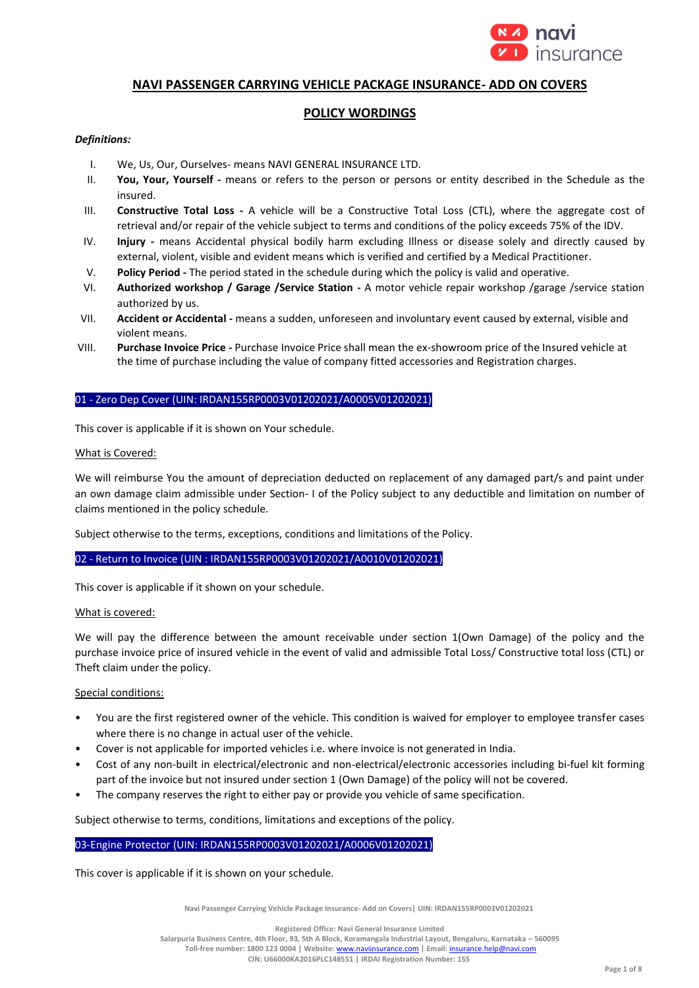

# **NAVI PASSENGER CARRYING VEHICLE PACKAGE INSURANCE- ADD ON COVERS**

# **POLICY WORDINGS**

# *Definitions:*

- I. We, Us, Our, Ourselves- means NAVI GENERAL INSURANCE LTD.
- II. **You, Your, Yourself -** means or refers to the person or persons or entity described in the Schedule as the insured.
- III. **Constructive Total Loss -** A vehicle will be a Constructive Total Loss (CTL), where the aggregate cost of retrieval and/or repair of the vehicle subject to terms and conditions of the policy exceeds 75% of the IDV.
- IV. **Injury -** means Accidental physical bodily harm excluding Illness or disease solely and directly caused by external, violent, visible and evident means which is verified and certified by a Medical Practitioner.
- V. **Policy Period -** The period stated in the schedule during which the policy is valid and operative.
- VI. **Authorized workshop / Garage /Service Station -** A motor vehicle repair workshop /garage /service station authorized by us.
- VII. **Accident or Accidental -** means a sudden, unforeseen and involuntary event caused by external, visible and violent means.
- VIII. **Purchase Invoice Price -** Purchase Invoice Price shall mean the ex-showroom price of the Insured vehicle at the time of purchase including the value of company fitted accessories and Registration charges.

### 01 - Zero Dep Cover (UIN: IRDAN155RP0003V01202021/A0005V01202021)

This cover is applicable if it is shown on Your schedule.

### What is Covered:

We will reimburse You the amount of depreciation deducted on replacement of any damaged part/s and paint under an own damage claim admissible under Section- I of the Policy subject to any deductible and limitation on number of claims mentioned in the policy schedule.

Subject otherwise to the terms, exceptions, conditions and limitations of the Policy.

# 02 - Return to Invoice (UIN : IRDAN155RP0003V01202021/A0010V01202021)

This cover is applicable if it shown on your schedule.

# What is covered:

We will pay the difference between the amount receivable under section 1(Own Damage) of the policy and the purchase invoice price of insured vehicle in the event of valid and admissible Total Loss/ Constructive total loss (CTL) or Theft claim under the policy.

# Special conditions:

- You are the first registered owner of the vehicle. This condition is waived for employer to employee transfer cases where there is no change in actual user of the vehicle.
- Cover is not applicable for imported vehicles i.e. where invoice is not generated in India.
- Cost of any non-built in electrical/electronic and non-electrical/electronic accessories including bi-fuel kit forming part of the invoice but not insured under section 1 (Own Damage) of the policy will not be covered.
- The company reserves the right to either pay or provide you vehicle of same specification.

Subject otherwise to terms, conditions, limitations and exceptions of the policy.

#### 03-Engine Protector (UIN: IRDAN155RP0003V01202021/A0006V01202021)

This cover is applicable if it is shown on your schedule.

**Navi Passenger Carrying Vehicle Package Insurance- Add on Covers| UIN: IRDAN155RP0003V01202021**

**Registered Office: Navi General Insurance Limited**

**Salarpuria Business Centre, 4th Floor, 93, 5th A Block, Koramangala Industrial Layout, Bengaluru, Karnataka – 560095 Toll-free number: 1800 123 0004 | Website:** [www.naviinsurance.com](http://www.naviinsurance.com/) **| Email:** [insurance.help@navi.com](mailto:insurance.help@navi.com)

**CIN: U66000KA2016PLC148551 | IRDAI Registration Number: 155**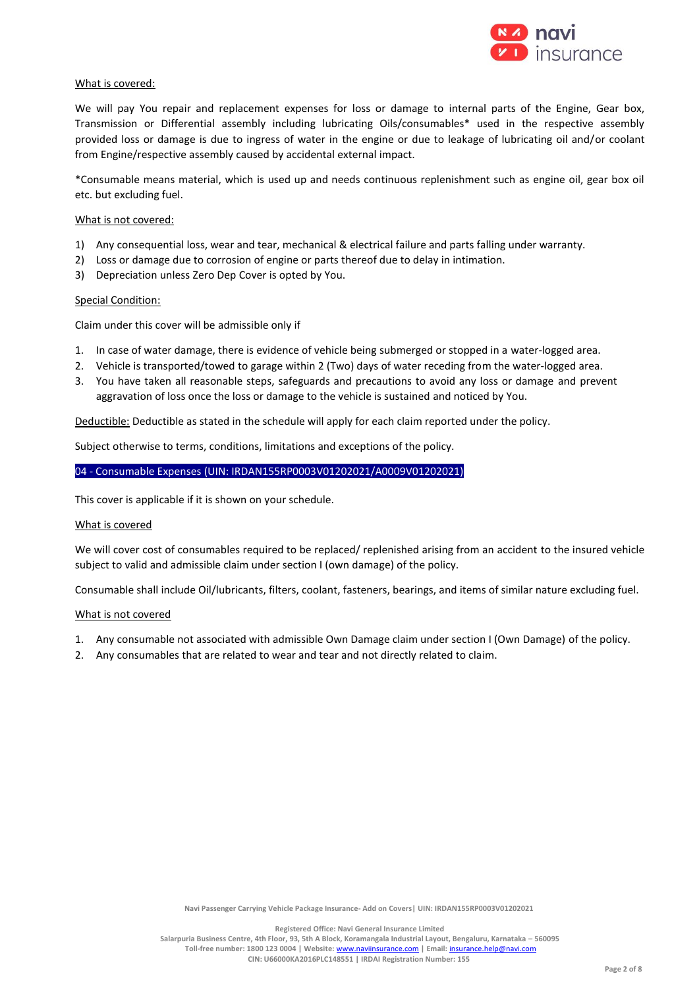

### What is covered:

We will pay You repair and replacement expenses for loss or damage to internal parts of the Engine, Gear box, Transmission or Differential assembly including lubricating Oils/consumables\* used in the respective assembly provided loss or damage is due to ingress of water in the engine or due to leakage of lubricating oil and/or coolant from Engine/respective assembly caused by accidental external impact.

\*Consumable means material, which is used up and needs continuous replenishment such as engine oil, gear box oil etc. but excluding fuel.

#### What is not covered:

- 1) Any consequential loss, wear and tear, mechanical & electrical failure and parts falling under warranty.
- 2) Loss or damage due to corrosion of engine or parts thereof due to delay in intimation.
- 3) Depreciation unless Zero Dep Cover is opted by You.

#### **Special Condition:**

Claim under this cover will be admissible only if

- 1. In case of water damage, there is evidence of vehicle being submerged or stopped in a water-logged area.
- 2. Vehicle is transported/towed to garage within 2 (Two) days of water receding from the water-logged area.
- 3. You have taken all reasonable steps, safeguards and precautions to avoid any loss or damage and prevent aggravation of loss once the loss or damage to the vehicle is sustained and noticed by You.

Deductible: Deductible as stated in the schedule will apply for each claim reported under the policy.

Subject otherwise to terms, conditions, limitations and exceptions of the policy.

### 04 - Consumable Expenses (UIN: IRDAN155RP0003V01202021/A0009V01202021)

This cover is applicable if it is shown on your schedule.

#### What is covered

We will cover cost of consumables required to be replaced/ replenished arising from an accident to the insured vehicle subject to valid and admissible claim under section I (own damage) of the policy.

Consumable shall include Oil/lubricants, filters, coolant, fasteners, bearings, and items of similar nature excluding fuel.

#### What is not covered

- 1. Any consumable not associated with admissible Own Damage claim under section I (Own Damage) of the policy.
- 2. Any consumables that are related to wear and tear and not directly related to claim.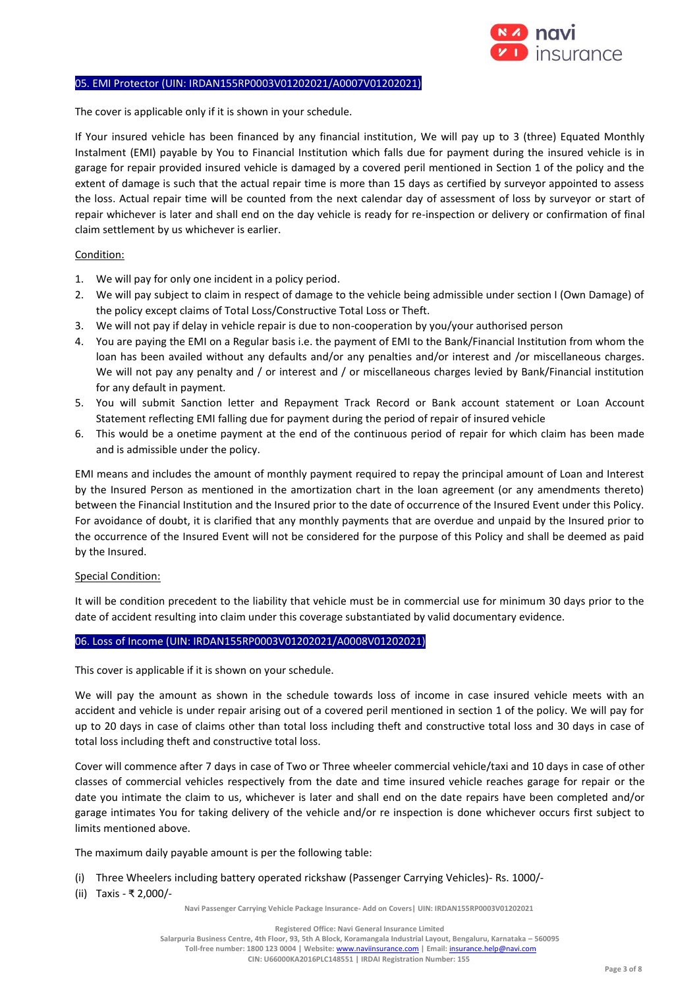

### 05. EMI Protector (UIN: IRDAN155RP0003V01202021/A0007V01202021)

The cover is applicable only if it is shown in your schedule.

If Your insured vehicle has been financed by any financial institution, We will pay up to 3 (three) Equated Monthly Instalment (EMI) payable by You to Financial Institution which falls due for payment during the insured vehicle is in garage for repair provided insured vehicle is damaged by a covered peril mentioned in Section 1 of the policy and the extent of damage is such that the actual repair time is more than 15 days as certified by surveyor appointed to assess the loss. Actual repair time will be counted from the next calendar day of assessment of loss by surveyor or start of repair whichever is later and shall end on the day vehicle is ready for re-inspection or delivery or confirmation of final claim settlement by us whichever is earlier.

# Condition:

- 1. We will pay for only one incident in a policy period.
- 2. We will pay subject to claim in respect of damage to the vehicle being admissible under section I (Own Damage) of the policy except claims of Total Loss/Constructive Total Loss or Theft.
- 3. We will not pay if delay in vehicle repair is due to non-cooperation by you/your authorised person
- 4. You are paying the EMI on a Regular basis i.e. the payment of EMI to the Bank/Financial Institution from whom the loan has been availed without any defaults and/or any penalties and/or interest and /or miscellaneous charges. We will not pay any penalty and / or interest and / or miscellaneous charges levied by Bank/Financial institution for any default in payment.
- 5. You will submit Sanction letter and Repayment Track Record or Bank account statement or Loan Account Statement reflecting EMI falling due for payment during the period of repair of insured vehicle
- 6. This would be a onetime payment at the end of the continuous period of repair for which claim has been made and is admissible under the policy.

EMI means and includes the amount of monthly payment required to repay the principal amount of Loan and Interest by the Insured Person as mentioned in the amortization chart in the loan agreement (or any amendments thereto) between the Financial Institution and the Insured prior to the date of occurrence of the Insured Event under this Policy. For avoidance of doubt, it is clarified that any monthly payments that are overdue and unpaid by the Insured prior to the occurrence of the Insured Event will not be considered for the purpose of this Policy and shall be deemed as paid by the Insured.

#### Special Condition:

It will be condition precedent to the liability that vehicle must be in commercial use for minimum 30 days prior to the date of accident resulting into claim under this coverage substantiated by valid documentary evidence.

#### 06. Loss of Income (UIN: IRDAN155RP0003V01202021/A0008V01202021)

This cover is applicable if it is shown on your schedule.

We will pay the amount as shown in the schedule towards loss of income in case insured vehicle meets with an accident and vehicle is under repair arising out of a covered peril mentioned in section 1 of the policy. We will pay for up to 20 days in case of claims other than total loss including theft and constructive total loss and 30 days in case of total loss including theft and constructive total loss.

Cover will commence after 7 days in case of Two or Three wheeler commercial vehicle/taxi and 10 days in case of other classes of commercial vehicles respectively from the date and time insured vehicle reaches garage for repair or the date you intimate the claim to us, whichever is later and shall end on the date repairs have been completed and/or garage intimates You for taking delivery of the vehicle and/or re inspection is done whichever occurs first subject to limits mentioned above.

The maximum daily payable amount is per the following table:

- (i) Three Wheelers including battery operated rickshaw (Passenger Carrying Vehicles)- Rs. 1000/-
- (ii) Taxis ₹ 2,000/-

**Navi Passenger Carrying Vehicle Package Insurance- Add on Covers| UIN: IRDAN155RP0003V01202021**

**Salarpuria Business Centre, 4th Floor, 93, 5th A Block, Koramangala Industrial Layout, Bengaluru, Karnataka – 560095 Toll-free number: 1800 123 0004 | Website:** [www.naviinsurance.com](http://www.naviinsurance.com/) **| Email:** [insurance.help@navi.com](mailto:insurance.help@navi.com)

**CIN: U66000KA2016PLC148551 | IRDAI Registration Number: 155**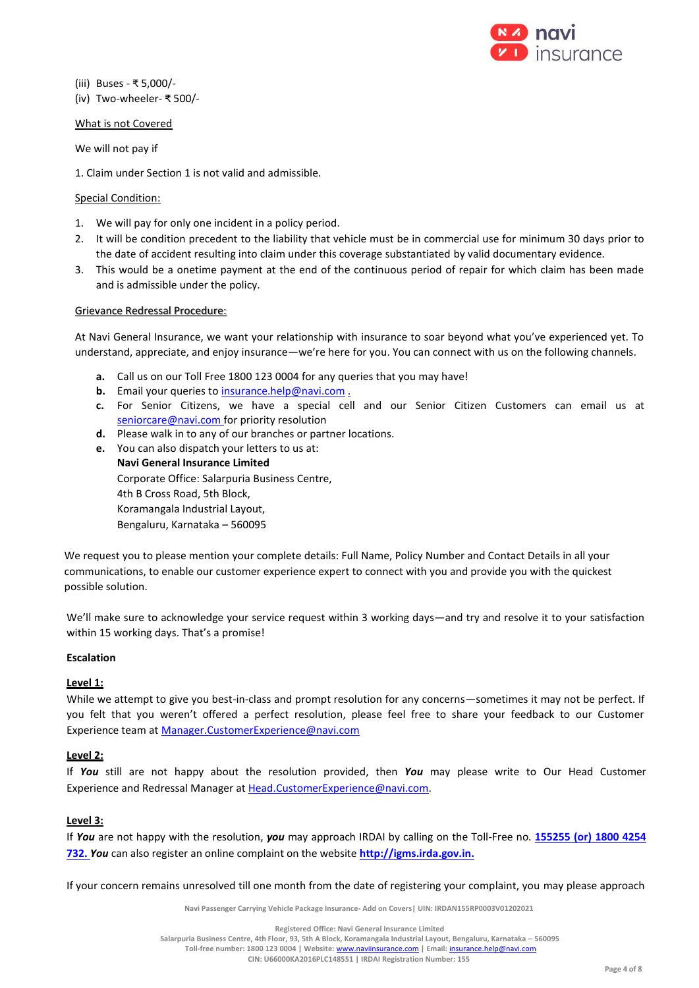

(iii) Buses - ₹ 5,000/- (iv) Two-wheeler- ₹ 500/-

### What is not Covered

We will not pay if

1. Claim under Section 1 is not valid and admissible.

# Special Condition:

- 1. We will pay for only one incident in a policy period.
- 2. It will be condition precedent to the liability that vehicle must be in commercial use for minimum 30 days prior to the date of accident resulting into claim under this coverage substantiated by valid documentary evidence.
- 3. This would be a onetime payment at the end of the continuous period of repair for which claim has been made and is admissible under the policy.

### Grievance Redressal Procedure:

At Navi General Insurance, we want your relationship with insurance to soar beyond what you've experienced yet. To understand, appreciate, and enjoy insurance—we're here for you. You can connect with us on the following channels.

- **a.** Call us on our Toll Free 1800 123 0004 for any queries that you may have!
- **b.** Email your queries to [insurance.help@navi.com](mailto:insurance.help@navi.com) .
- **c.** For Senior Citizens, we have a special cell and our Senior Citizen Customers can email us at seniorcare@navi.com for priority resolution
- **d.** Please walk in to any of our branches or partner locations.
- **e.** You can also dispatch your letters to us at: **Navi General Insurance Limited** Corporate Office: Salarpuria Business Centre, 4th B Cross Road, 5th Block, Koramangala Industrial Layout,

Bengaluru, Karnataka – 560095

We request you to please mention your complete details: Full Name, Policy Number and Contact Details in all your communications, to enable our customer experience expert to connect with you and provide you with the quickest possible solution.

We'll make sure to acknowledge your service request within 3 working days—and try and resolve it to your satisfaction within 15 working days. That's a promise!

#### **Escalation**

# **Level 1:**

While we attempt to give you best-in-class and prompt resolution for any concerns—sometimes it may not be perfect. If you felt that you weren't offered a perfect resolution, please feel free to share your feedback to our Customer Experience team a[t Manager.CustomerExperience@navi.com](mailto:Manager.CustomerExperience@navi.com) 

# **Level 2:**

If *You* still are not happy about the resolution provided, then *You* may please write to Our Head Customer Experience and Redressal Manager at [Head.CustomerExperience@navi.com.](mailto:Head.CustomerExperience@navi.com)

# **Level 3:**

If *You* are not happy with the resolution, *you* may approach IRDAI by calling on the Toll-Free no. **155255 (or) 1800 4254 732.** *You* can also register an online complaint on the website **[http://igms.irda.gov.in.](http://igms.irda.gov.in/)**

If your concern remains unresolved till one month from the date of registering your complaint, you may please approach

**Navi Passenger Carrying Vehicle Package Insurance- Add on Covers| UIN: IRDAN155RP0003V01202021**

**Salarpuria Business Centre, 4th Floor, 93, 5th A Block, Koramangala Industrial Layout, Bengaluru, Karnataka – 560095**

**Toll-free number: 1800 123 0004 | Website:** [www.naviinsurance.com](http://www.naviinsurance.com/) **| Email:** [insurance.help@navi.com](mailto:insurance.help@navi.com)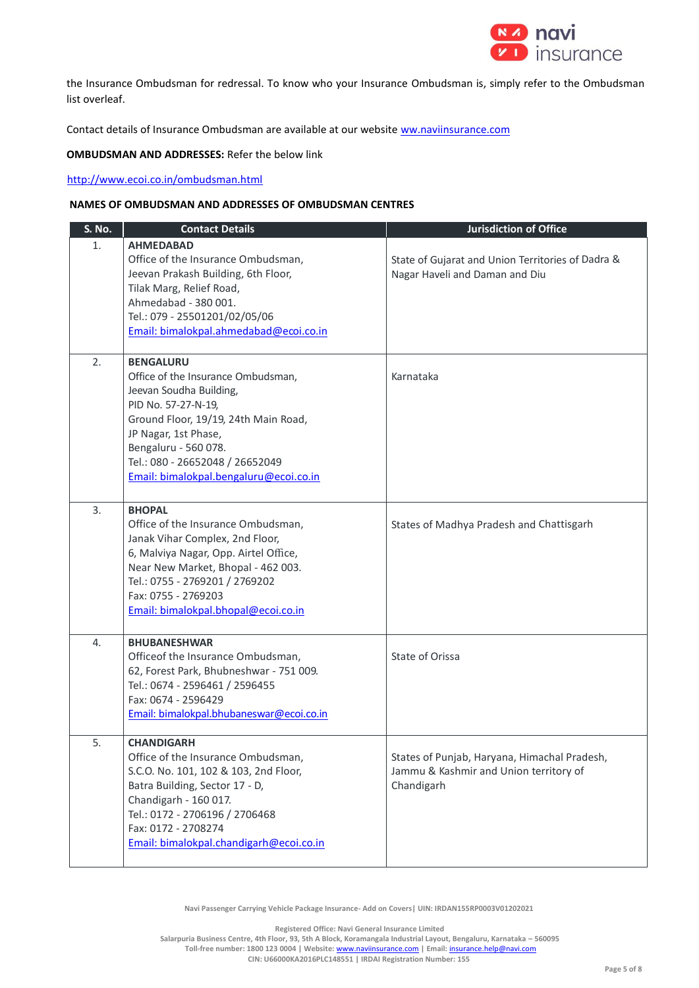

the Insurance Ombudsman for redressal. To know who your Insurance Ombudsman is, simply refer to the Ombudsman list overleaf.

Contact details of Insurance Ombudsman are available at our website ww.naviinsurance.com

**OMBUDSMAN AND ADDRESSES:** Refer the below link

<http://www.ecoi.co.in/ombudsman.html>

### **NAMES OF OMBUDSMAN AND ADDRESSES OF OMBUDSMAN CENTRES**

| <b>S. No.</b> | <b>Contact Details</b>                                                                                                                                                                                                                                                        | <b>Jurisdiction of Office</b>                                                                        |
|---------------|-------------------------------------------------------------------------------------------------------------------------------------------------------------------------------------------------------------------------------------------------------------------------------|------------------------------------------------------------------------------------------------------|
| 1.            | <b>AHMEDABAD</b><br>Office of the Insurance Ombudsman,<br>Jeevan Prakash Building, 6th Floor,<br>Tilak Marg, Relief Road,<br>Ahmedabad - 380 001.<br>Tel.: 079 - 25501201/02/05/06<br>Email: bimalokpal.ahmedabad@ecoi.co.in                                                  | State of Gujarat and Union Territories of Dadra &<br>Nagar Haveli and Daman and Diu                  |
| 2.            | <b>BENGALURU</b><br>Office of the Insurance Ombudsman,<br>Jeevan Soudha Building,<br>PID No. 57-27-N-19,<br>Ground Floor, 19/19, 24th Main Road,<br>JP Nagar, 1st Phase,<br>Bengaluru - 560 078.<br>Tel.: 080 - 26652048 / 26652049<br>Email: bimalokpal.bengaluru@ecoi.co.in | Karnataka                                                                                            |
| 3.            | <b>BHOPAL</b><br>Office of the Insurance Ombudsman,<br>Janak Vihar Complex, 2nd Floor,<br>6, Malviya Nagar, Opp. Airtel Office,<br>Near New Market, Bhopal - 462 003.<br>Tel.: 0755 - 2769201 / 2769202<br>Fax: 0755 - 2769203<br>Email: bimalokpal.bhopal@ecoi.co.in         | States of Madhya Pradesh and Chattisgarh                                                             |
| 4.            | <b>BHUBANESHWAR</b><br>Officeof the Insurance Ombudsman,<br>62, Forest Park, Bhubneshwar - 751 009.<br>Tel.: 0674 - 2596461 / 2596455<br>Fax: 0674 - 2596429<br>Email: bimalokpal.bhubaneswar@ecoi.co.in                                                                      | State of Orissa                                                                                      |
| 5.            | <b>CHANDIGARH</b><br>Office of the Insurance Ombudsman,<br>S.C.O. No. 101, 102 & 103, 2nd Floor,<br>Batra Building, Sector 17 - D,<br>Chandigarh - 160 017.<br>Tel.: 0172 - 2706196 / 2706468<br>Fax: 0172 - 2708274<br>Email: bimalokpal.chandigarh@ecoi.co.in               | States of Punjab, Haryana, Himachal Pradesh,<br>Jammu & Kashmir and Union territory of<br>Chandigarh |

**Navi Passenger Carrying Vehicle Package Insurance- Add on Covers| UIN: IRDAN155RP0003V01202021**

**Registered Office: Navi General Insurance Limited**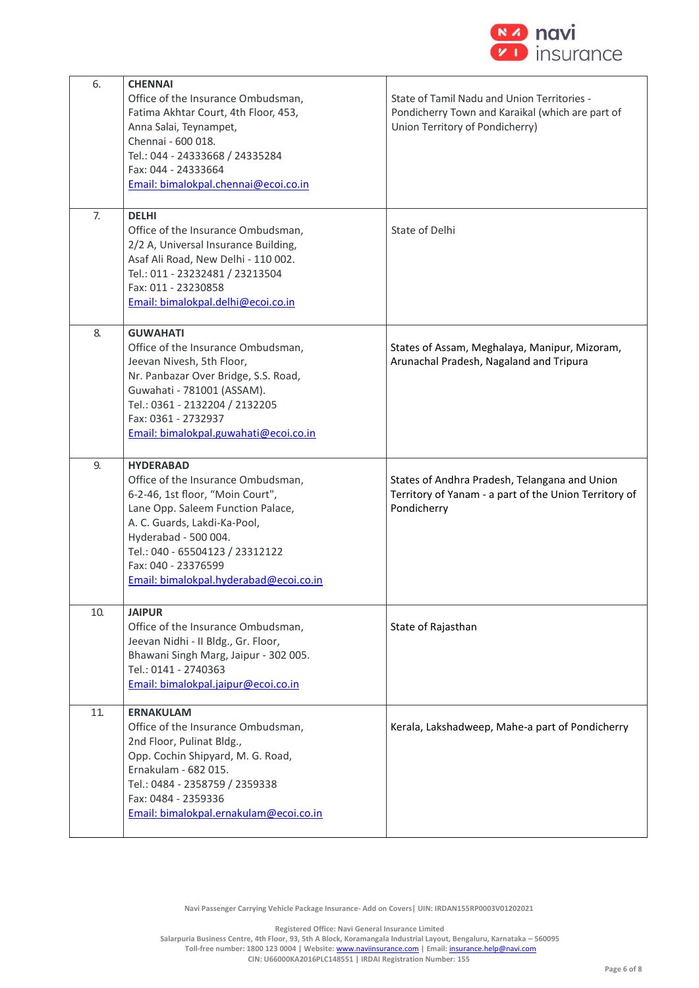

| 6.  | <b>CHENNAI</b>                                        |                                                       |
|-----|-------------------------------------------------------|-------------------------------------------------------|
|     | Office of the Insurance Ombudsman,                    | State of Tamil Nadu and Union Territories -           |
|     | Fatima Akhtar Court, 4th Floor, 453,                  | Pondicherry Town and Karaikal (which are part of      |
|     | Anna Salai, Teynampet,                                | Union Territory of Pondicherry)                       |
|     | Chennai - 600 018.                                    |                                                       |
|     | Tel.: 044 - 24333668 / 24335284                       |                                                       |
|     | Fax: 044 - 24333664                                   |                                                       |
|     | Email: bimalokpal.chennai@ecoi.co.in                  |                                                       |
| 7.  | <b>DELHI</b>                                          |                                                       |
|     | Office of the Insurance Ombudsman,                    | State of Delhi                                        |
|     | 2/2 A, Universal Insurance Building,                  |                                                       |
|     | Asaf Ali Road, New Delhi - 110 002.                   |                                                       |
|     | Tel.: 011 - 23232481 / 23213504                       |                                                       |
|     | Fax: 011 - 23230858                                   |                                                       |
|     | Email: bimalokpal.delhi@ecoi.co.in                    |                                                       |
|     |                                                       |                                                       |
| 8.  | <b>GUWAHATI</b><br>Office of the Insurance Ombudsman, | States of Assam, Meghalaya, Manipur, Mizoram,         |
|     | Jeevan Nivesh, 5th Floor,                             | Arunachal Pradesh, Nagaland and Tripura               |
|     | Nr. Panbazar Over Bridge, S.S. Road,                  |                                                       |
|     | Guwahati - 781001 (ASSAM).                            |                                                       |
|     | Tel.: 0361 - 2132204 / 2132205                        |                                                       |
|     | Fax: 0361 - 2732937                                   |                                                       |
|     | Email: bimalokpal.guwahati@ecoi.co.in                 |                                                       |
|     |                                                       |                                                       |
| 9.  | <b>HYDERABAD</b>                                      |                                                       |
|     |                                                       |                                                       |
|     | Office of the Insurance Ombudsman,                    | States of Andhra Pradesh, Telangana and Union         |
|     | 6-2-46, 1st floor, "Moin Court",                      | Territory of Yanam - a part of the Union Territory of |
|     | Lane Opp. Saleem Function Palace,                     | Pondicherry                                           |
|     | A. C. Guards, Lakdi-Ka-Pool,                          |                                                       |
|     | Hyderabad - 500 004.                                  |                                                       |
|     | Tel.: 040 - 65504123 / 23312122                       |                                                       |
|     | Fax: 040 - 23376599                                   |                                                       |
|     | Email: bimalokpal.hyderabad@ecoi.co.in                |                                                       |
| 10. | <b>JAIPUR</b>                                         |                                                       |
|     | Office of the Insurance Ombudsman,                    | State of Rajasthan                                    |
|     | Jeevan Nidhi - II Bldg., Gr. Floor,                   |                                                       |
|     | Bhawani Singh Marg, Jaipur - 302 005.                 |                                                       |
|     | Tel.: 0141 - 2740363                                  |                                                       |
|     | Email: bimalokpal.jaipur@ecoi.co.in                   |                                                       |
| 11. | <b>ERNAKULAM</b>                                      |                                                       |
|     | Office of the Insurance Ombudsman,                    | Kerala, Lakshadweep, Mahe-a part of Pondicherry       |
|     | 2nd Floor, Pulinat Bldg.,                             |                                                       |
|     | Opp. Cochin Shipyard, M. G. Road,                     |                                                       |
|     | Ernakulam - 682 015.                                  |                                                       |
|     | Tel.: 0484 - 2358759 / 2359338                        |                                                       |
|     | Fax: 0484 - 2359336                                   |                                                       |
|     | Email: bimalokpal.ernakulam@ecoi.co.in                |                                                       |

**Navi Passenger Carrying Vehicle Package Insurance- Add on Covers| UIN: IRDAN155RP0003V01202021**

**Registered Office: Navi General Insurance Limited**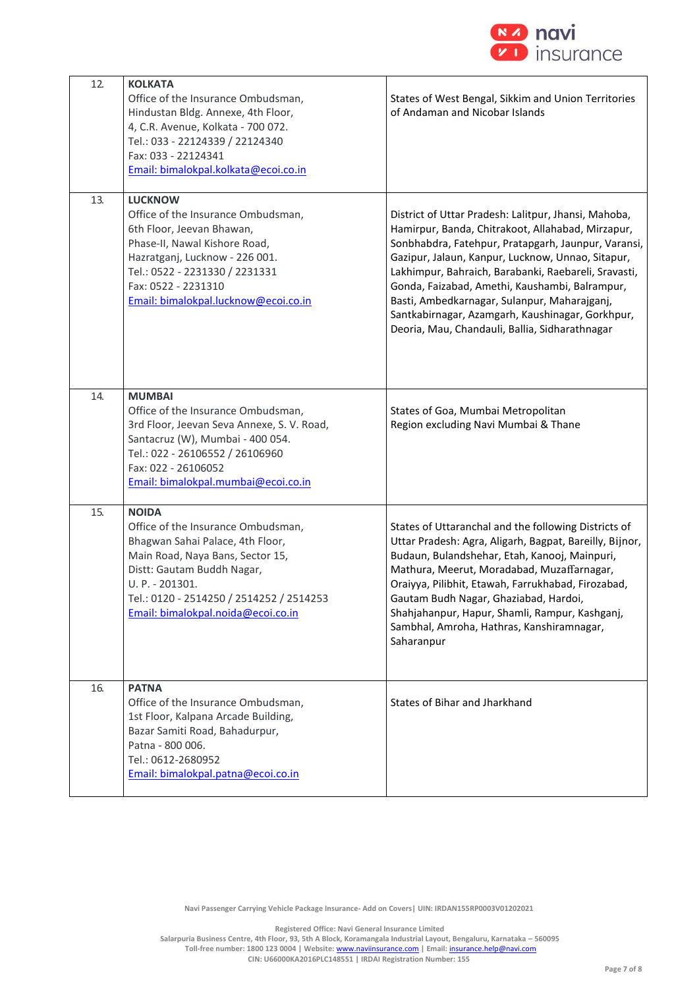

| 12. | <b>KOLKATA</b><br>Office of the Insurance Ombudsman,<br>Hindustan Bldg. Annexe, 4th Floor,<br>4, C.R. Avenue, Kolkata - 700 072.<br>Tel.: 033 - 22124339 / 22124340<br>Fax: 033 - 22124341<br>Email: bimalokpal.kolkata@ecoi.co.in                            | States of West Bengal, Sikkim and Union Territories<br>of Andaman and Nicobar Islands                                                                                                                                                                                                                                                                                                                                                                                                 |
|-----|---------------------------------------------------------------------------------------------------------------------------------------------------------------------------------------------------------------------------------------------------------------|---------------------------------------------------------------------------------------------------------------------------------------------------------------------------------------------------------------------------------------------------------------------------------------------------------------------------------------------------------------------------------------------------------------------------------------------------------------------------------------|
| 13. | <b>LUCKNOW</b><br>Office of the Insurance Ombudsman,<br>6th Floor, Jeevan Bhawan,<br>Phase-II, Nawal Kishore Road,<br>Hazratganj, Lucknow - 226 001.<br>Tel.: 0522 - 2231330 / 2231331<br>Fax: 0522 - 2231310<br>Email: bimalokpal.lucknow@ecoi.co.in         | District of Uttar Pradesh: Lalitpur, Jhansi, Mahoba,<br>Hamirpur, Banda, Chitrakoot, Allahabad, Mirzapur,<br>Sonbhabdra, Fatehpur, Pratapgarh, Jaunpur, Varansi,<br>Gazipur, Jalaun, Kanpur, Lucknow, Unnao, Sitapur,<br>Lakhimpur, Bahraich, Barabanki, Raebareli, Sravasti,<br>Gonda, Faizabad, Amethi, Kaushambi, Balrampur,<br>Basti, Ambedkarnagar, Sulanpur, Maharajganj,<br>Santkabirnagar, Azamgarh, Kaushinagar, Gorkhpur,<br>Deoria, Mau, Chandauli, Ballia, Sidharathnagar |
| 14. | <b>MUMBAI</b><br>Office of the Insurance Ombudsman,<br>3rd Floor, Jeevan Seva Annexe, S. V. Road,<br>Santacruz (W), Mumbai - 400 054.<br>Tel.: 022 - 26106552 / 26106960<br>Fax: 022 - 26106052<br>Email: bimalokpal.mumbai@ecoi.co.in                        | States of Goa, Mumbai Metropolitan<br>Region excluding Navi Mumbai & Thane                                                                                                                                                                                                                                                                                                                                                                                                            |
| 15. | <b>NOIDA</b><br>Office of the Insurance Ombudsman,<br>Bhagwan Sahai Palace, 4th Floor,<br>Main Road, Naya Bans, Sector 15,<br>Distt: Gautam Buddh Nagar,<br>U. P. - 201301.<br>Tel.: 0120 - 2514250 / 2514252 / 2514253<br>Email: bimalokpal.noida@ecoi.co.in | States of Uttaranchal and the following Districts of<br>Uttar Pradesh: Agra, Aligarh, Bagpat, Bareilly, Bijnor,<br>Budaun, Bulandshehar, Etah, Kanooj, Mainpuri,<br>Mathura, Meerut, Moradabad, Muzaffarnagar,<br>Oraiyya, Pilibhit, Etawah, Farrukhabad, Firozabad,<br>Gautam Budh Nagar, Ghaziabad, Hardoi,<br>Shahjahanpur, Hapur, Shamli, Rampur, Kashganj,<br>Sambhal, Amroha, Hathras, Kanshiramnagar,<br>Saharanpur                                                            |
| 16. | <b>PATNA</b><br>Office of the Insurance Ombudsman,<br>1st Floor, Kalpana Arcade Building,<br>Bazar Samiti Road, Bahadurpur,<br>Patna - 800 006.<br>Tel.: 0612-2680952<br>Email: bimalokpal.patna@ecoi.co.in                                                   | States of Bihar and Jharkhand                                                                                                                                                                                                                                                                                                                                                                                                                                                         |

**Navi Passenger Carrying Vehicle Package Insurance- Add on Covers| UIN: IRDAN155RP0003V01202021**

**Registered Office: Navi General Insurance Limited**